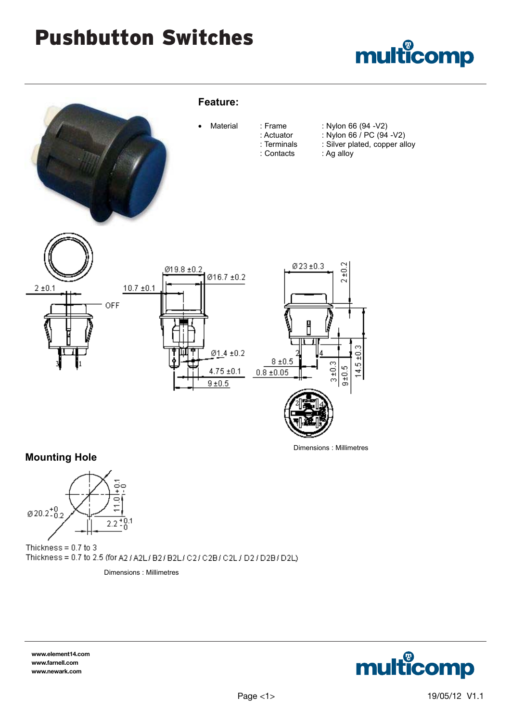## Pushbutton Switches





**Mounting Hole**



Thickness =  $0.7$  to 3 Thickness = 0.7 to 2.5 (for A2 / A2L/ B2/ B2L/ C2/ C2B/ C2L / D2 / D2B/ D2L)

Dimensions : Millimetres

**www.element14.com www.farnell.com www.newark.com**

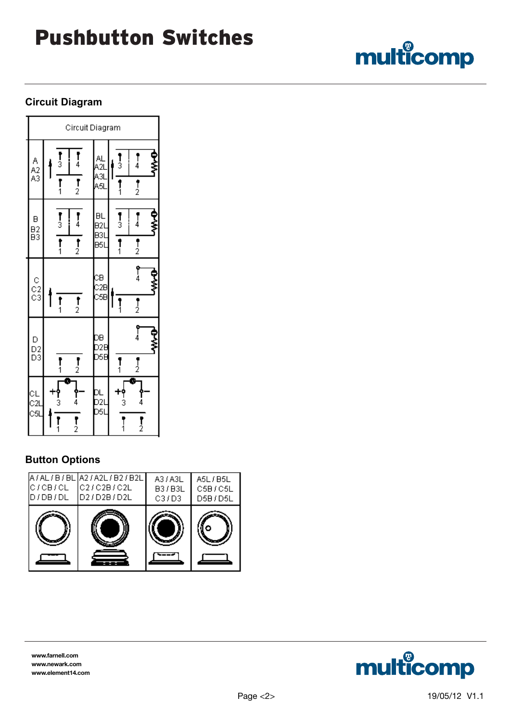# Pushbutton Switches

### **Circuit Diagram**

F

| Circuit Diagram  |                                                                               |                         |                                                                                                                                                     |
|------------------|-------------------------------------------------------------------------------|-------------------------|-----------------------------------------------------------------------------------------------------------------------------------------------------|
| A<br>A2<br>A3    | $\frac{1}{3}$<br>$\frac{1}{4}$<br>$\overline{1}$<br>$\prod_{1}^{n}$           | AL<br>A2l<br>A3l<br>A5l | ₹<br>$\frac{1}{3}$<br>$\frac{1}{4}$<br>$\frac{1}{2}$<br>$\mathbf{1}$                                                                                |
| B<br>B2<br>B3    | $\frac{1}{3}$<br>$\frac{1}{4}$<br>$\overline{r}$<br>$\overline{\mathbf{f}}_1$ | BL<br>B21<br>B31<br>B51 | ₿<br>≶<br>$\frac{1}{3}$<br>$\frac{1}{4}$<br>$\overline{1}$<br>$\frac{1}{2}$                                                                         |
| C<br>C2<br>C3    | $\frac{1}{2}$<br>$\mathbf{r}_1$                                               | CB<br>C2B<br>C5B        | የ<br>4<br>₹<br>∽<br>$\frac{1}{2}$<br>׀֧֧֧֧֩֕֓֕֓֩֩֕֓֩֩֕֓֓֕֓֓֓֓֓֓֕֓֓֓֬֓֓֓֕֩֕֓֓֕֓֩֕֓֓֬֓֓֓֓֓֓֬֓֩֕֩֩֓֓֕֩֕֓֓֬֓֓֩֕֓֓֬֓֓֬֓֓֩֕֓֩֕֓֩֕֩֩֓֡֟֓֡֡֬֩֩֓֩֩֩֓֩֩֕֩֩֕֩֩ |
| D<br>D2<br>D3    | $\frac{1}{2}$<br>י<br>1                                                       | DB<br>D2I<br>D5I        | $\int\limits_{4}^{6}$<br>する<br>$\frac{1}{2}$<br>׀<br>1                                                                                              |
| CL<br>C2l<br>C5l | ī<br><b>የ</b><br>4<br>r<br>3<br>$\overline{\mathbf{r}}_2$<br>r<br>1           | DL<br>D2I<br>D5I        | B<br><b>የ</b><br>4<br>$\frac{1}{3}$<br>$\overline{I}_{2}$                                                                                           |

### **Button Options**

| IC / CB / CL<br>D/DB/DL | A / AL / B / BL   A2 / A2L / B2 / B2L<br> C2/C2B/C2L<br>ID2/D2B/D2L | A3 / A3L<br>B3/B3L<br>C3/D3 | A5L/B5L<br>C5B/C5L<br>D5B/D5L |
|-------------------------|---------------------------------------------------------------------|-----------------------------|-------------------------------|
|                         |                                                                     |                             |                               |

**www.farnell.com www.newark.com www.element14.com**



multicomp